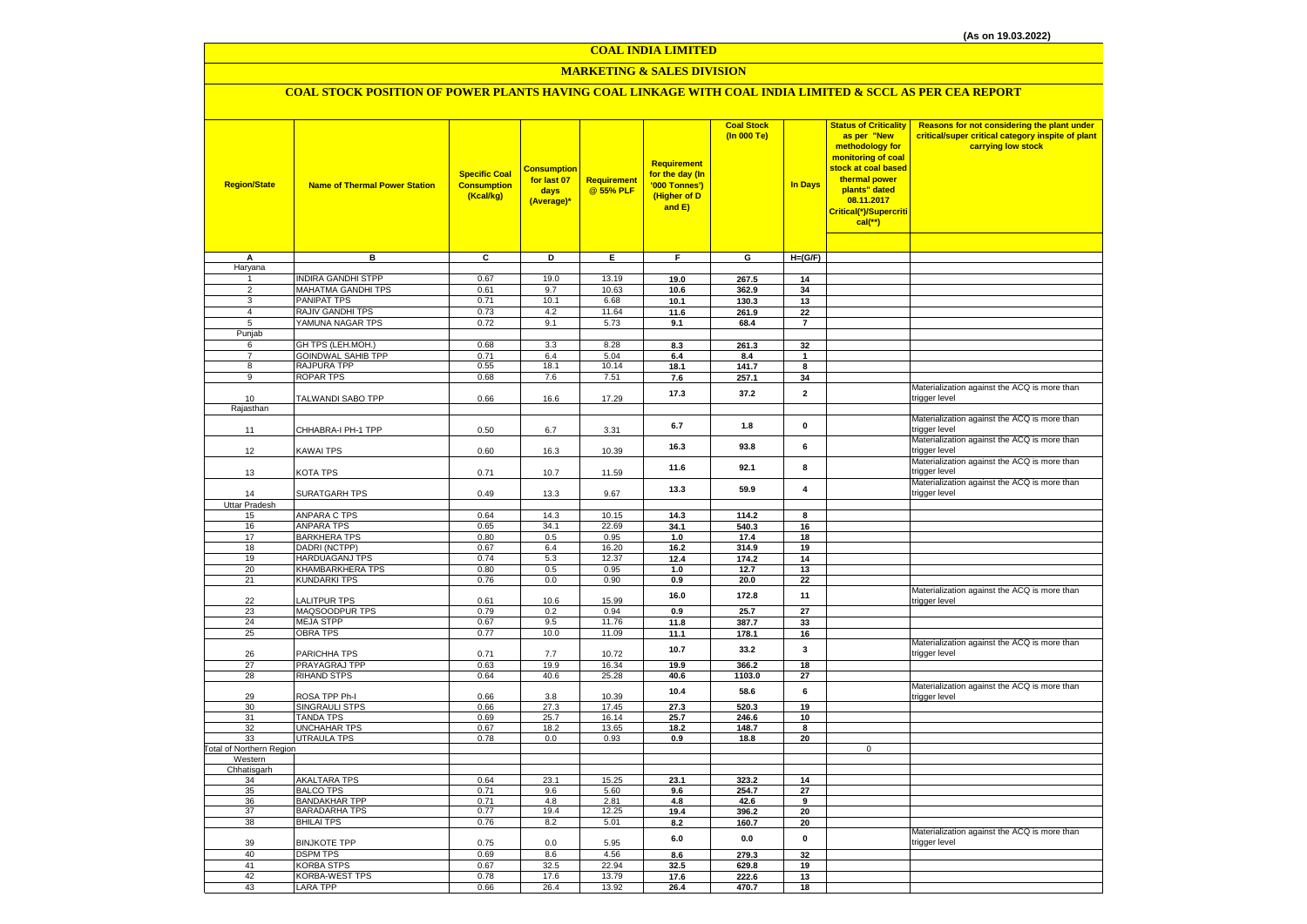#### **COAL INDIA LIMITED**

## **MARKETING & SALES DIVISION**

## **COAL STOCK POSITION OF POWER PLANTS HAVING COAL LINKAGE WITH COAL INDIA LIMITED & SCCL AS PER CEA REPORT**

| <b>Region/State</b>             | <b>Name of Thermal Power Station</b>      | <b>Specific Coal</b><br><b>Consumption</b><br>(Kcal/kg) | <b>Consumption</b><br>for last 07<br>days<br>(Average)* | Requirement<br>@ 55% PLF | <b>Requirement</b><br>for the day (In<br>'000 Tonnes')<br>(Higher of D<br>and E) | <b>Coal Stock</b><br>(In 000 Te) | <b>In Days</b>          | <b>Status of Criticality</b><br>as per "New<br>methodology for<br>monitoring of coal<br>stock at coal based<br>thermal power<br>plants" dated<br>08.11.2017<br>Critical(*)/Supercriti<br>$cal$ (**) | Reasons for not considering the plant under<br>critical/super critical category inspite of plant<br>carrying low stock |
|---------------------------------|-------------------------------------------|---------------------------------------------------------|---------------------------------------------------------|--------------------------|----------------------------------------------------------------------------------|----------------------------------|-------------------------|-----------------------------------------------------------------------------------------------------------------------------------------------------------------------------------------------------|------------------------------------------------------------------------------------------------------------------------|
| А                               | в                                         | c                                                       | Þ                                                       | Е                        | F                                                                                | G                                | $H=(G/F)$               |                                                                                                                                                                                                     |                                                                                                                        |
| Haryana                         |                                           |                                                         |                                                         |                          |                                                                                  |                                  |                         |                                                                                                                                                                                                     |                                                                                                                        |
| 1                               | <b>INDIRA GANDHI STPP</b>                 | 0.67                                                    | 19.0                                                    | 13.19                    | 19.0                                                                             | 267.5                            | 14                      |                                                                                                                                                                                                     |                                                                                                                        |
| $\overline{2}$                  | <b>MAHATMA GANDHI TPS</b>                 | 0.61                                                    | 9.7                                                     | 10.63                    | 10.6                                                                             | 362.9                            | 34                      |                                                                                                                                                                                                     |                                                                                                                        |
| 3                               | <b>PANIPAT TPS</b>                        | 0.71                                                    | 10.1                                                    | 6.68                     | 10.1                                                                             | 130.3                            | 13                      |                                                                                                                                                                                                     |                                                                                                                        |
| $\overline{a}$                  | RAJIV GANDHI TPS                          | 0.73                                                    | 4.2                                                     | 11.64                    | 11.6                                                                             | 261.9                            | 22                      |                                                                                                                                                                                                     |                                                                                                                        |
| 5                               | YAMUNA NAGAR TPS                          | 0.72                                                    | 9.1                                                     | 5.73                     | 9.1                                                                              | 68.4                             | $\overline{7}$          |                                                                                                                                                                                                     |                                                                                                                        |
| Punjab<br>6                     | GH TPS (LEH.MOH.)                         | 0.68                                                    | 3.3                                                     | 8.28                     | 8.3                                                                              | 261.3                            | 32                      |                                                                                                                                                                                                     |                                                                                                                        |
| $\overline{7}$                  | <b>GOINDWAL SAHIB TPP</b>                 | 0.71                                                    | 6.4                                                     | 5.04                     | 6.4                                                                              | 8.4                              | $\overline{1}$          |                                                                                                                                                                                                     |                                                                                                                        |
| 8                               | RAJPURA TPP                               | 0.55                                                    | 18.1                                                    | 10.14                    | 18.1                                                                             | 141.7                            | 8                       |                                                                                                                                                                                                     |                                                                                                                        |
| 9                               | <b>ROPAR TPS</b>                          | 0.68                                                    | 7.6                                                     | 7.51                     | 7.6                                                                              | 257.1                            | 34                      |                                                                                                                                                                                                     |                                                                                                                        |
|                                 |                                           |                                                         |                                                         |                          | 17.3                                                                             | 37.2                             | $\overline{\mathbf{2}}$ |                                                                                                                                                                                                     | Materialization against the ACQ is more than                                                                           |
| 10                              | TALWANDI SABO TPP                         | 0.66                                                    | 16.6                                                    | 17.29                    |                                                                                  |                                  |                         |                                                                                                                                                                                                     | trigger level                                                                                                          |
| Rajasthan                       |                                           |                                                         |                                                         |                          |                                                                                  |                                  |                         |                                                                                                                                                                                                     | Materialization against the ACQ is more than                                                                           |
| 11                              | CHHABRA-I PH-1 TPP                        | 0.50                                                    | 6.7                                                     | 3.31                     | 6.7                                                                              | 1.8                              | 0                       |                                                                                                                                                                                                     | trigger level                                                                                                          |
|                                 |                                           |                                                         |                                                         |                          |                                                                                  |                                  |                         |                                                                                                                                                                                                     | Materialization against the ACQ is more than                                                                           |
| 12                              | KAWAI TPS                                 | 0.60                                                    | 16.3                                                    | 10.39                    | 16.3                                                                             | 93.8                             | 6                       |                                                                                                                                                                                                     | trigger level                                                                                                          |
|                                 |                                           |                                                         |                                                         |                          | 11.6                                                                             | 92.1                             | 8                       |                                                                                                                                                                                                     | Materialization against the ACQ is more than                                                                           |
| 13                              | KOTA TPS                                  | 0.71                                                    | 10.7                                                    | 11.59                    |                                                                                  |                                  |                         |                                                                                                                                                                                                     | trigger level                                                                                                          |
| 14                              | SURATGARH TPS                             | 0.49                                                    | 13.3                                                    | 9.67                     | 13.3                                                                             | 59.9                             | 4                       |                                                                                                                                                                                                     | Materialization against the ACQ is more than<br>trigger level                                                          |
| <b>Uttar Pradesh</b>            |                                           |                                                         |                                                         |                          |                                                                                  |                                  |                         |                                                                                                                                                                                                     |                                                                                                                        |
| 15                              | ANPARA C TPS                              | 0.64                                                    | 14.3                                                    | 10.15                    | 14.3                                                                             | 114.2                            | 8                       |                                                                                                                                                                                                     |                                                                                                                        |
| 16                              | <b>ANPARA TPS</b>                         | 0.65                                                    | 34.1                                                    | 22.69                    | 34.1                                                                             | 540.3                            | 16                      |                                                                                                                                                                                                     |                                                                                                                        |
| 17                              | <b>BARKHERA TPS</b>                       | 0.80                                                    | 0.5                                                     | 0.95                     | 1.0                                                                              | 17.4                             | 18                      |                                                                                                                                                                                                     |                                                                                                                        |
| 18                              | <b>DADRI (NCTPP)</b>                      | 0.67                                                    | 6.4                                                     | 16.20                    | 16.2                                                                             | 314.9                            | 19                      |                                                                                                                                                                                                     |                                                                                                                        |
| 19                              | <b>HARDUAGANJ TPS</b>                     | 0.74                                                    | 5.3                                                     | 12.37                    | 12.4                                                                             | 174.2                            | 14                      |                                                                                                                                                                                                     |                                                                                                                        |
| 20                              | KHAMBARKHERA TPS                          | 0.80                                                    | 0.5                                                     | 0.95                     | 1.0                                                                              | 12.7                             | 13                      |                                                                                                                                                                                                     |                                                                                                                        |
| 21                              | <b>KUNDARKI TPS</b>                       | 0.76                                                    | 0.0                                                     | 0.90                     | 0.9                                                                              | 20.0                             | 22                      |                                                                                                                                                                                                     | Materialization against the ACQ is more than                                                                           |
| 22                              | <b>LALITPUR TPS</b>                       | 0.61                                                    | 10.6                                                    | 15.99                    | 16.0                                                                             | 172.8                            | 11                      |                                                                                                                                                                                                     | trigger level                                                                                                          |
| 23                              | MAQSOODPUR TPS                            | 0.79                                                    | 0.2                                                     | 0.94                     | 0.9                                                                              | 25.7                             | 27                      |                                                                                                                                                                                                     |                                                                                                                        |
| 24                              | <b>MEJA STPP</b>                          | 0.67                                                    | 9.5                                                     | 11.76                    | 11.8                                                                             | 387.7                            | 33                      |                                                                                                                                                                                                     |                                                                                                                        |
| 25                              | <b>OBRA TPS</b>                           | 0.77                                                    | 10.0                                                    | 11.09                    | 11.1                                                                             | 178.1                            | 16                      |                                                                                                                                                                                                     |                                                                                                                        |
|                                 |                                           |                                                         |                                                         |                          | 10.7                                                                             | 33.2                             | 3                       |                                                                                                                                                                                                     | Materialization against the ACQ is more than                                                                           |
| 26<br>27                        | PARICHHA TPS<br>PRAYAGRAJ TPP             | 0.71<br>0.63                                            | 7.7<br>19.9                                             | 10.72<br>16.34           | 19.9                                                                             | 366.2                            | 18                      |                                                                                                                                                                                                     | trigger level                                                                                                          |
| 28                              | RIHAND STPS                               | 0.64                                                    | 40.6                                                    | 25.28                    | 40.6                                                                             | 1103.0                           | 27                      |                                                                                                                                                                                                     |                                                                                                                        |
|                                 |                                           |                                                         |                                                         |                          |                                                                                  |                                  | 6                       |                                                                                                                                                                                                     | Materialization against the ACQ is more than                                                                           |
| 29                              | ROSA TPP Ph-I                             | 0.66                                                    | 3.8                                                     | 10.39                    | 10.4                                                                             | 58.6                             |                         |                                                                                                                                                                                                     | trigger level                                                                                                          |
| 30                              | SINGRAULI STPS                            | 0.66                                                    | 27.3                                                    | 17.45                    | 27.3                                                                             | 520.3                            | 19                      |                                                                                                                                                                                                     |                                                                                                                        |
| 31                              | <b>TANDA TPS</b>                          | 0.69                                                    | 25.7                                                    | 16.14                    | 25.7                                                                             | 246.6                            | 10                      |                                                                                                                                                                                                     |                                                                                                                        |
| 32<br>33                        | <b>UNCHAHAR TPS</b><br><b>UTRAULA TPS</b> | 0.67<br>0.78                                            | 18.2<br>0.0                                             | 13.65<br>0.93            | 18.2<br>0.9                                                                      | 148.7<br>18.8                    | 8<br>20                 |                                                                                                                                                                                                     |                                                                                                                        |
| <b>Total of Northern Region</b> |                                           |                                                         |                                                         |                          |                                                                                  |                                  |                         | 0                                                                                                                                                                                                   |                                                                                                                        |
| Western                         |                                           |                                                         |                                                         |                          |                                                                                  |                                  |                         |                                                                                                                                                                                                     |                                                                                                                        |
| Chhatisgarh                     |                                           |                                                         |                                                         |                          |                                                                                  |                                  |                         |                                                                                                                                                                                                     |                                                                                                                        |
| 34                              | <b>AKALTARA TPS</b>                       | 0.64                                                    | 23.1                                                    | 15.25                    | 23.1                                                                             | 323.2                            | 14                      |                                                                                                                                                                                                     |                                                                                                                        |
| 35<br>36                        | <b>BALCO TPS</b><br><b>BANDAKHAR TPP</b>  | 0.71<br>0.71                                            | 9.6<br>4.8                                              | 5.60<br>2.81             | 9.6<br>4.8                                                                       | 254.7<br>42.6                    | 27<br>9                 |                                                                                                                                                                                                     |                                                                                                                        |
| 37                              | <b>BARADARHA TPS</b>                      | 0.77                                                    | 19.4                                                    | 12.25                    | 19.4                                                                             | 396.2                            | 20                      |                                                                                                                                                                                                     |                                                                                                                        |
| 38                              | <b>BHILAI TPS</b>                         | 0.76                                                    | 8.2                                                     | 5.01                     | 8.2                                                                              | 160.7                            | 20                      |                                                                                                                                                                                                     |                                                                                                                        |
|                                 |                                           |                                                         |                                                         |                          |                                                                                  |                                  |                         |                                                                                                                                                                                                     | Materialization against the ACQ is more than                                                                           |
| 39                              | <b>BINJKOTE TPP</b>                       | 0.75                                                    | 0.0                                                     | 5.95                     | 6.0                                                                              | 0.0                              | 0                       |                                                                                                                                                                                                     | trigger level                                                                                                          |
| 40                              | <b>DSPM TPS</b>                           | 0.69                                                    | 8.6                                                     | 4.56                     | 8.6                                                                              | 279.3                            | 32                      |                                                                                                                                                                                                     |                                                                                                                        |
| 41                              | <b>KORBA STPS</b>                         | 0.67                                                    | 32.5                                                    | 22.94                    | 32.5                                                                             | 629.8                            | 19                      |                                                                                                                                                                                                     |                                                                                                                        |
| 42                              | KORBA-WEST TPS                            | 0.78                                                    | 17.6                                                    | 13.79                    | 17.6                                                                             | 222.6                            | 13                      |                                                                                                                                                                                                     |                                                                                                                        |
| 43                              | <b>LARA TPP</b>                           | 0.66                                                    | 26.4                                                    | 13.92                    | 26.4                                                                             | 470.7                            | 18                      |                                                                                                                                                                                                     |                                                                                                                        |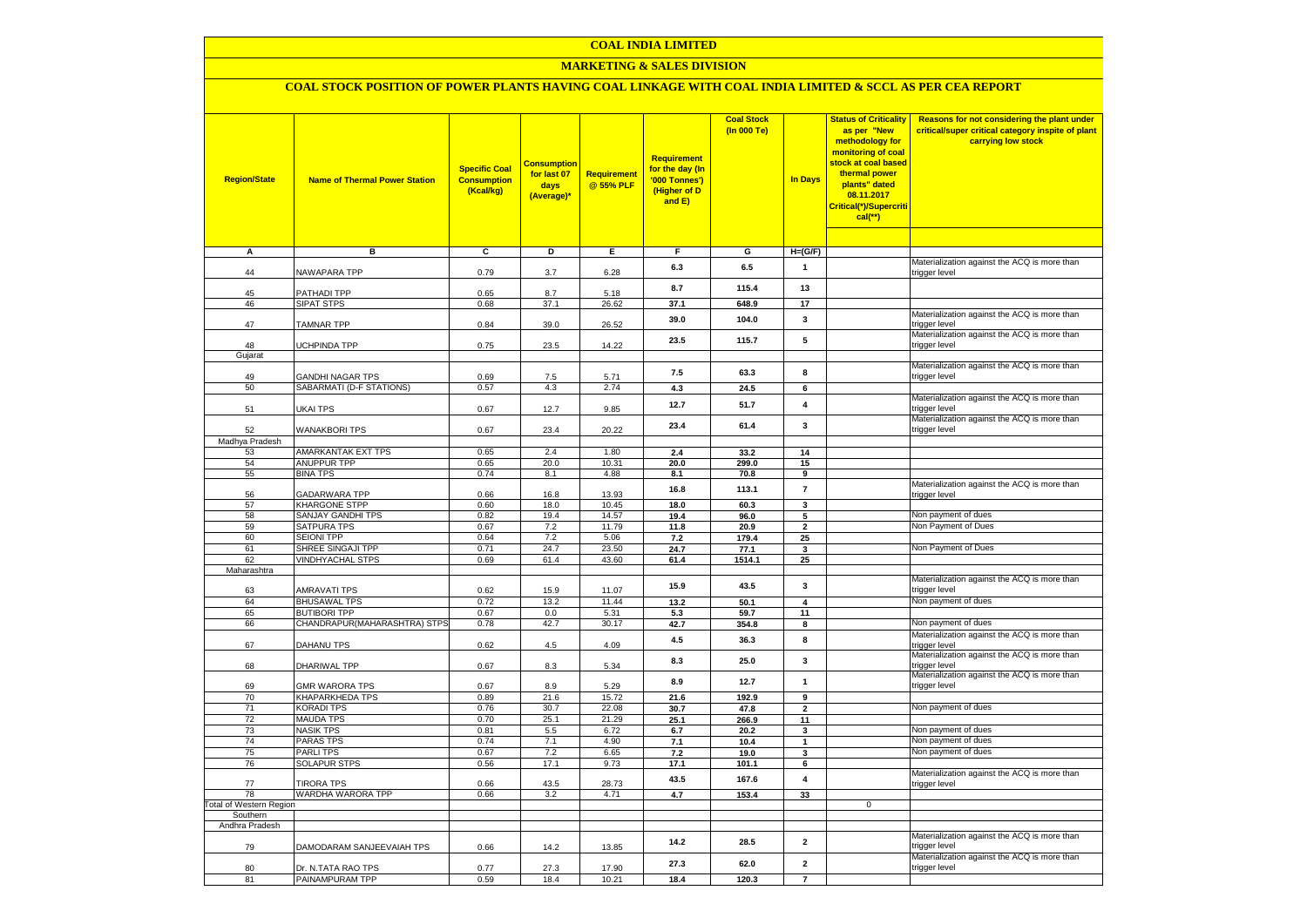## **COAL INDIA LIMITED**

## **MARKETING & SALES DIVISION**

# **COAL STOCK POSITION OF POWER PLANTS HAVING COAL LINKAGE WITH COAL INDIA LIMITED & SCCL AS PER CEA REPORT**

| <b>Region/State</b>            | <b>Name of Thermal Power Station</b>         | <b>Specific Coal</b><br><b>Consumption</b><br>(Kcal/kg) | <b>Consumption</b><br>for last 07<br>days<br>(Average)* | Requirement<br>@ 55% PLF | <b>Requirement</b><br>for the day (In<br>'000 Tonnes')<br>(Higher of D<br>and E) | <b>Coal Stock</b><br>(In 000 Te) | <b>In Days</b>          | <b>Status of Criticality</b><br>as per "New<br>methodology for<br>monitoring of coal<br>stock at coal based<br>thermal power<br>plants" dated<br>08.11.2017<br>Critical(*)/Supercriti<br>$cal(**)$ | Reasons for not considering the plant under<br>critical/super critical category inspite of plant<br>carrying low stock |
|--------------------------------|----------------------------------------------|---------------------------------------------------------|---------------------------------------------------------|--------------------------|----------------------------------------------------------------------------------|----------------------------------|-------------------------|----------------------------------------------------------------------------------------------------------------------------------------------------------------------------------------------------|------------------------------------------------------------------------------------------------------------------------|
| Α                              | в                                            | c                                                       | Þ                                                       | E                        | F                                                                                | G                                | $H=(G/F)$               |                                                                                                                                                                                                    |                                                                                                                        |
| 44                             | NAWAPARA TPP                                 | 0.79                                                    | 3.7                                                     | 6.28                     | 6.3                                                                              | 6.5                              | 1                       |                                                                                                                                                                                                    | Materialization against the ACQ is more than<br>trigger level                                                          |
| 45                             | PATHADI TPP                                  | 0.65                                                    | 8.7                                                     | 5.18                     | 8.7                                                                              | 115.4                            | 13                      |                                                                                                                                                                                                    |                                                                                                                        |
| 46                             | <b>SIPAT STPS</b>                            | 0.68                                                    | 37.1                                                    | 26.62                    | 37.1                                                                             | 648.9                            | 17                      |                                                                                                                                                                                                    |                                                                                                                        |
| 47                             | <b>TAMNAR TPP</b>                            | 0.84                                                    | 39.0                                                    | 26.52                    | 39.0                                                                             | 104.0                            | 3                       |                                                                                                                                                                                                    | Materialization against the ACQ is more than<br>trigger level                                                          |
| 48                             | UCHPINDA TPP                                 | 0.75                                                    | 23.5                                                    | 14.22                    | 23.5                                                                             | 115.7                            | 5                       |                                                                                                                                                                                                    | Materialization against the ACQ is more than<br>trigger level                                                          |
| Gujarat                        |                                              |                                                         |                                                         |                          |                                                                                  |                                  |                         |                                                                                                                                                                                                    | Materialization against the ACQ is more than                                                                           |
| 49<br>50                       | GANDHI NAGAR TPS<br>SABARMATI (D-F STATIONS) | 0.69<br>0.57                                            | 7.5<br>4.3                                              | 5.71<br>2.74             | 7.5<br>4.3                                                                       | 63.3<br>24.5                     | 8<br>6                  |                                                                                                                                                                                                    | trigger level                                                                                                          |
|                                |                                              |                                                         |                                                         |                          |                                                                                  |                                  |                         |                                                                                                                                                                                                    | Materialization against the ACQ is more than                                                                           |
| 51                             | UKAI TPS                                     | 0.67                                                    | 12.7                                                    | 9.85                     | 12.7                                                                             | 51.7                             | $\pmb{4}$               |                                                                                                                                                                                                    | trigger level<br>Materialization against the ACQ is more than                                                          |
| 52<br>Madhya Pradesh           | <b>WANAKBORI TPS</b>                         | 0.67                                                    | 23.4                                                    | 20.22                    | 23.4                                                                             | 61.4                             | 3                       |                                                                                                                                                                                                    | trigger level                                                                                                          |
| 53                             | AMARKANTAK EXT TPS                           | 0.65                                                    | 2.4                                                     | 1.80                     | 2.4                                                                              | 33.2                             | 14                      |                                                                                                                                                                                                    |                                                                                                                        |
| 54                             | <b>ANUPPUR TPP</b>                           | 0.65                                                    | 20.0                                                    | 10.31                    | 20.0                                                                             | 299.0                            | 15                      |                                                                                                                                                                                                    |                                                                                                                        |
| 55                             | <b>BINA TPS</b>                              | 0.74                                                    | 8.1                                                     | 4.88                     | 8.1                                                                              | 70.8                             | 9                       |                                                                                                                                                                                                    |                                                                                                                        |
| 56                             | <b>GADARWARA TPP</b>                         | 0.66                                                    | 16.8                                                    | 13.93                    | 16.8                                                                             | 113.1                            | $\overline{7}$          |                                                                                                                                                                                                    | Materialization against the ACQ is more than<br>trigger level                                                          |
| 57                             | <b>KHARGONE STPP</b>                         | 0.60                                                    | 18.0                                                    | 10.45                    | 18.0                                                                             | 60.3                             | 3                       |                                                                                                                                                                                                    |                                                                                                                        |
| 58                             | <b>SANJAY GANDHI TPS</b>                     | 0.82                                                    | 19.4                                                    | 14.57                    | 19.4                                                                             | 96.0                             | 5                       |                                                                                                                                                                                                    | Non payment of dues                                                                                                    |
| 59                             | <b>SATPURA TPS</b>                           | 0.67                                                    | 7.2                                                     | 11.79                    | 11.8                                                                             | 20.9                             | $\mathbf{2}$            |                                                                                                                                                                                                    | Non Payment of Dues                                                                                                    |
| 60<br>61                       | SEIONI TPP<br>SHREE SINGAJI TPP              | 0.64<br>0.71                                            | 7.2<br>24.7                                             | 5.06<br>23.50            | $7.2$<br>24.7                                                                    | 179.4<br>77.1                    | 25<br>$\mathbf 3$       |                                                                                                                                                                                                    | Non Payment of Dues                                                                                                    |
| 62                             | <b>VINDHYACHAL STPS</b>                      | 0.69                                                    | 61.4                                                    | 43.60                    | 61.4                                                                             | 1514.1                           | 25                      |                                                                                                                                                                                                    |                                                                                                                        |
| Maharashtra                    |                                              |                                                         |                                                         |                          |                                                                                  |                                  |                         |                                                                                                                                                                                                    |                                                                                                                        |
| 63                             | <b>AMRAVATI TPS</b>                          | 0.62                                                    | 15.9                                                    | 11.07                    | 15.9                                                                             | 43.5                             | 3                       |                                                                                                                                                                                                    | Materialization against the ACQ is more than<br>trigger level                                                          |
| 64                             | <b>BHUSAWAL TPS</b>                          | 0.72                                                    | 13.2                                                    | 11.44                    | 13.2                                                                             | 50.1                             | 4                       |                                                                                                                                                                                                    | Non payment of dues                                                                                                    |
| 65                             | <b>BUTIBORI TPP</b>                          | 0.67                                                    | 0.0                                                     | 5.31                     | 5.3                                                                              | 59.7                             | 11                      |                                                                                                                                                                                                    |                                                                                                                        |
| 66                             | CHANDRAPUR(MAHARASHTRA) STPS                 | 0.78                                                    | 42.7                                                    | 30.17                    | 42.7                                                                             | 354.8                            | 8                       |                                                                                                                                                                                                    | Non payment of dues                                                                                                    |
| 67                             | DAHANU TPS                                   | 0.62                                                    | $4.5\,$                                                 | 4.09                     | 4.5                                                                              | 36.3                             | 8                       |                                                                                                                                                                                                    | Materialization against the ACQ is more than<br>trigger level                                                          |
| 68                             | DHARIWAL TPP                                 | 0.67                                                    | 8.3                                                     | 5.34                     | 8.3                                                                              | 25.0                             | $\mathbf{3}$            |                                                                                                                                                                                                    | Materialization against the ACQ is more than<br>trigger level                                                          |
| 69                             | <b>GMR WARORA TPS</b>                        | 0.67                                                    | 8.9                                                     | 5.29                     | 8.9                                                                              | 12.7                             | $\mathbf{1}$            |                                                                                                                                                                                                    | Materialization against the ACQ is more than<br>trigger level                                                          |
| 70                             | KHAPARKHEDA TPS                              | 0.89                                                    | 21.6                                                    | 15.72                    | 21.6                                                                             | 192.9                            | 9                       |                                                                                                                                                                                                    |                                                                                                                        |
| 71                             | <b>KORADI TPS</b>                            | 0.76                                                    | 30.7                                                    | 22.08                    | 30.7                                                                             | 47.8                             | $\mathbf{2}$            |                                                                                                                                                                                                    | Non payment of dues                                                                                                    |
| 72<br>73                       | <b>MAUDA TPS</b><br><b>NASIK TPS</b>         | 0.70<br>0.81                                            | 25.1<br>5.5                                             | 21.29<br>6.72            | 25.1<br>6.7                                                                      | 266.9<br>20.2                    | 11<br>$\mathbf 3$       |                                                                                                                                                                                                    | Non payment of dues                                                                                                    |
| 74                             | <b>PARAS TPS</b>                             | 0.74                                                    | 7.1                                                     | 4.90                     | 7.1                                                                              | 10.4                             | $\mathbf{1}$            |                                                                                                                                                                                                    | Non payment of dues                                                                                                    |
| 75                             | <b>PARLITPS</b>                              | 0.67                                                    | 7.2                                                     | 6.65                     | 7.2                                                                              | 19.0                             | 3                       |                                                                                                                                                                                                    | Non payment of dues                                                                                                    |
| 76                             | SOLAPUR STPS                                 | 0.56                                                    | 17.1                                                    | 9.73                     | 17.1                                                                             | 101.1                            | 6                       |                                                                                                                                                                                                    |                                                                                                                        |
| 77                             | <b>TIRORA TPS</b>                            | 0.66                                                    | 43.5                                                    | 28.73                    | 43.5                                                                             | 167.6                            | $\overline{\mathbf{4}}$ |                                                                                                                                                                                                    | Materialization against the ACQ is more than<br>trigger level                                                          |
| 78                             | WARDHA WARORA TPP                            | 0.66                                                    | 3.2                                                     | 4.71                     | 4.7                                                                              | 153.4                            | 33                      |                                                                                                                                                                                                    |                                                                                                                        |
| <b>Total of Western Region</b> |                                              |                                                         |                                                         |                          |                                                                                  |                                  |                         | 0                                                                                                                                                                                                  |                                                                                                                        |
| Southern                       |                                              |                                                         |                                                         |                          |                                                                                  |                                  |                         |                                                                                                                                                                                                    |                                                                                                                        |
| Andhra Pradesh                 |                                              |                                                         |                                                         |                          | 14.2                                                                             | 28.5                             | $\mathbf 2$             |                                                                                                                                                                                                    | Materialization against the ACQ is more than                                                                           |
| 79                             | DAMODARAM SANJEEVAIAH TPS                    | 0.66                                                    | 14.2                                                    | 13.85                    | 27.3                                                                             | 62.0                             | $\mathbf 2$             |                                                                                                                                                                                                    | trigger level<br>Materialization against the ACQ is more than                                                          |
| 80<br>81                       | Dr. N.TATA RAO TPS<br>PAINAMPURAM TPP        | 0.77<br>0.59                                            | 27.3<br>18.4                                            | 17.90<br>10.21           | 18.4                                                                             | 120.3                            | $\overline{7}$          |                                                                                                                                                                                                    | trigger level                                                                                                          |
|                                |                                              |                                                         |                                                         |                          |                                                                                  |                                  |                         |                                                                                                                                                                                                    |                                                                                                                        |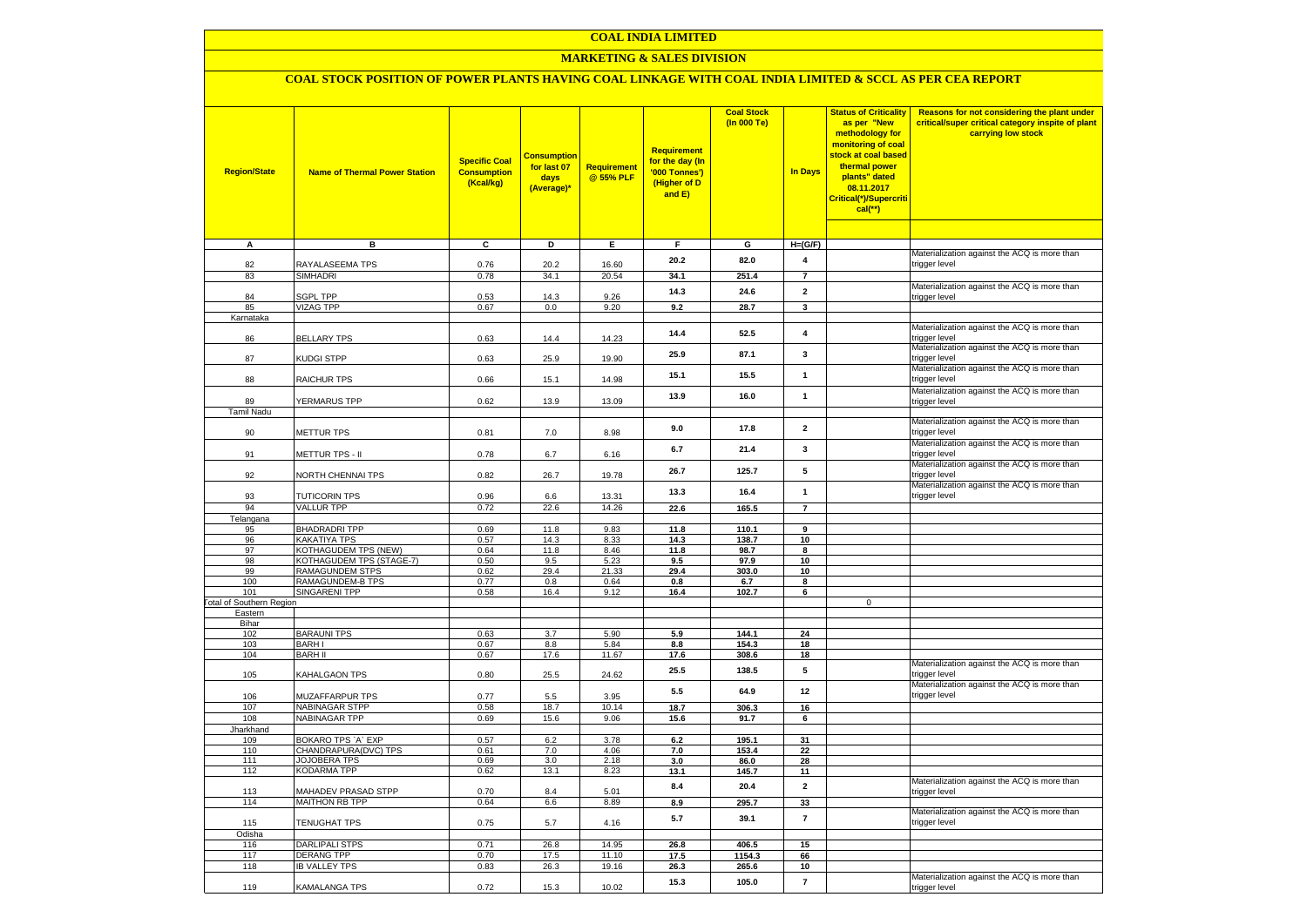## **COAL INDIA LIMITED**

## **MARKETING & SALES DIVISION**

## **COAL STOCK POSITION OF POWER PLANTS HAVING COAL LINKAGE WITH COAL INDIA LIMITED & SCCL AS PER CEA REPORT**

| <b>Region/State</b>             | <b>Name of Thermal Power Station</b>        | <b>Specific Coal</b><br><b>Consumption</b><br>(Kcal/kg) | <b>Consumptior</b><br>for last 07<br>days<br>(Average)* | Requirement<br>@ 55% PLF | <b>Requirement</b><br>for the day (In<br>'000 Tonnes')<br>(Higher of D<br>and E) | <b>Coal Stock</b><br>(In 000 Te) | <b>In Days</b> | <b>Status of Criticality</b><br>as per "New<br>methodology for<br>monitoring of coal<br>stock at coal based<br>thermal power<br>plants" dated<br>08.11.2017<br>Critical(*)/Supercriti<br>$cal$ (**) | Reasons for not considering the plant under<br>critical/super critical category inspite of plant<br>carrying low stock |
|---------------------------------|---------------------------------------------|---------------------------------------------------------|---------------------------------------------------------|--------------------------|----------------------------------------------------------------------------------|----------------------------------|----------------|-----------------------------------------------------------------------------------------------------------------------------------------------------------------------------------------------------|------------------------------------------------------------------------------------------------------------------------|
| Α                               | в                                           | C                                                       | D                                                       | Е.                       | F.                                                                               | G                                | $H=(G/F)$      |                                                                                                                                                                                                     |                                                                                                                        |
|                                 |                                             |                                                         |                                                         |                          | 20.2                                                                             | 82.0                             | 4              |                                                                                                                                                                                                     | Materialization against the ACQ is more than                                                                           |
| 82                              | RAYALASEEMA TPS                             | 0.76                                                    | 20.2                                                    | 16.60                    |                                                                                  |                                  |                |                                                                                                                                                                                                     | trigger level                                                                                                          |
| 83                              | <b>SIMHADRI</b>                             | 0.78                                                    | 34.1                                                    | 20.54                    | 34.1                                                                             | 251.4                            | $\overline{7}$ |                                                                                                                                                                                                     |                                                                                                                        |
| 84                              | <b>SGPL TPP</b>                             | 0.53                                                    | 14.3                                                    | 9.26                     | 14.3                                                                             | 24.6                             | $\overline{2}$ |                                                                                                                                                                                                     | Materialization against the ACQ is more than<br>trigger level                                                          |
| 85                              | <b>VIZAG TPP</b>                            | 0.67                                                    | 0.0                                                     | 9.20                     | 9.2                                                                              | 28.7                             | $\mathbf{3}$   |                                                                                                                                                                                                     |                                                                                                                        |
| Karnataka                       |                                             |                                                         |                                                         |                          |                                                                                  |                                  |                |                                                                                                                                                                                                     |                                                                                                                        |
|                                 |                                             |                                                         |                                                         |                          | 14.4                                                                             | 52.5                             | 4              |                                                                                                                                                                                                     | Materialization against the ACQ is more than                                                                           |
| 86                              | <b>BELLARY TPS</b>                          | 0.63                                                    | 14.4                                                    | 14.23                    |                                                                                  |                                  |                |                                                                                                                                                                                                     | trigger level<br>Materialization against the ACQ is more than                                                          |
| 87                              | KUDGI STPP                                  | 0.63                                                    | 25.9                                                    | 19.90                    | 25.9                                                                             | 87.1                             | 3              |                                                                                                                                                                                                     | trigger level                                                                                                          |
|                                 |                                             |                                                         |                                                         |                          | 15.1                                                                             | 15.5                             | $\mathbf{1}$   |                                                                                                                                                                                                     | Materialization against the ACQ is more than                                                                           |
| 88                              | RAICHUR TPS                                 | 0.66                                                    | 15.1                                                    | 14.98                    |                                                                                  |                                  |                |                                                                                                                                                                                                     | trigger level                                                                                                          |
| 89                              | YERMARUS TPP                                | 0.62                                                    | 13.9                                                    | 13.09                    | 13.9                                                                             | 16.0                             | $\mathbf{1}$   |                                                                                                                                                                                                     | Materialization against the ACQ is more than<br>trigger level                                                          |
| <b>Tamil Nadu</b>               |                                             |                                                         |                                                         |                          |                                                                                  |                                  |                |                                                                                                                                                                                                     |                                                                                                                        |
|                                 |                                             |                                                         |                                                         |                          |                                                                                  |                                  |                |                                                                                                                                                                                                     | Materialization against the ACQ is more than                                                                           |
| 90                              | <b>METTUR TPS</b>                           | 0.81                                                    | 7.0                                                     | 8.98                     | 9.0                                                                              | 17.8                             | $\mathbf{2}$   |                                                                                                                                                                                                     | trigger level                                                                                                          |
|                                 |                                             |                                                         |                                                         |                          | 6.7                                                                              | 21.4                             | 3              |                                                                                                                                                                                                     | Materialization against the ACQ is more than                                                                           |
| 91                              | METTUR TPS - II                             | 0.78                                                    | 6.7                                                     | 6.16                     |                                                                                  |                                  |                |                                                                                                                                                                                                     | trigger level                                                                                                          |
| 92                              | NORTH CHENNAI TPS                           | 0.82                                                    | 26.7                                                    | 19.78                    | 26.7                                                                             | 125.7                            | 5              |                                                                                                                                                                                                     | Materialization against the ACQ is more than<br>trigger level                                                          |
|                                 |                                             |                                                         |                                                         |                          |                                                                                  |                                  |                |                                                                                                                                                                                                     | Materialization against the ACQ is more than                                                                           |
| 93                              | <b>TUTICORIN TPS</b>                        | 0.96                                                    | 6.6                                                     | 13.31                    | 13.3                                                                             | 16.4                             | $\mathbf{1}$   |                                                                                                                                                                                                     | trigger level                                                                                                          |
| 94                              | <b>VALLUR TPP</b>                           | 0.72                                                    | 22.6                                                    | 14.26                    | 22.6                                                                             | 165.5                            | $\overline{7}$ |                                                                                                                                                                                                     |                                                                                                                        |
| Telangana                       |                                             |                                                         |                                                         |                          |                                                                                  |                                  |                |                                                                                                                                                                                                     |                                                                                                                        |
| 95                              | <b>BHADRADRI TPP</b><br>KAKATIYA TPS        | 0.69                                                    | 11.8                                                    | 9.83                     | 11.8                                                                             | 110.1                            | 9              |                                                                                                                                                                                                     |                                                                                                                        |
| 96<br>97                        | KOTHAGUDEM TPS (NEW)                        | 0.57<br>0.64                                            | 14.3<br>11.8                                            | 8.33<br>8.46             | 14.3<br>11.8                                                                     | 138.7<br>98.7                    | 10<br>8        |                                                                                                                                                                                                     |                                                                                                                        |
| 98                              | KOTHAGUDEM TPS (STAGE-7)                    | 0.50                                                    | 9.5                                                     | 5.23                     | 9.5                                                                              | 97.9                             | 10             |                                                                                                                                                                                                     |                                                                                                                        |
| 99                              | RAMAGUNDEM STPS                             | 0.62                                                    | 29.4                                                    | 21.33                    | 29.4                                                                             | 303.0                            | 10             |                                                                                                                                                                                                     |                                                                                                                        |
| 100                             | <b>RAMAGUNDEM-B TPS</b>                     | 0.77                                                    | 0.8                                                     | 0.64                     | 0.8                                                                              | 6.7                              | 8              |                                                                                                                                                                                                     |                                                                                                                        |
| 101                             | <b>SINGARENI TPP</b>                        | 0.58                                                    | 16.4                                                    | 9.12                     | 16.4                                                                             | 102.7                            | 6              |                                                                                                                                                                                                     |                                                                                                                        |
| <b>Total of Southern Region</b> |                                             |                                                         |                                                         |                          |                                                                                  |                                  |                | $\mathbf 0$                                                                                                                                                                                         |                                                                                                                        |
| Eastern<br>Bihar                |                                             |                                                         |                                                         |                          |                                                                                  |                                  |                |                                                                                                                                                                                                     |                                                                                                                        |
| 102                             | <b>BARAUNI TPS</b>                          | 0.63                                                    | 3.7                                                     | 5.90                     | 5.9                                                                              | 144.1                            | 24             |                                                                                                                                                                                                     |                                                                                                                        |
| 103                             | <b>BARHI</b>                                | 0.67                                                    | 8.8                                                     | 5.84                     | 8.8                                                                              | 154.3                            | 18             |                                                                                                                                                                                                     |                                                                                                                        |
| 104                             | <b>BARH II</b>                              | 0.67                                                    | 17.6                                                    | 11.67                    | 17.6                                                                             | 308.6                            | 18             |                                                                                                                                                                                                     |                                                                                                                        |
| 105                             | KAHALGAON TPS                               | 0.80                                                    | 25.5                                                    | 24.62                    | 25.5                                                                             | 138.5                            | 5              |                                                                                                                                                                                                     | Materialization against the ACQ is more than<br>trigger level                                                          |
| 106                             | MUZAFFARPUR TPS                             | 0.77                                                    | 5.5                                                     | 3.95                     | 5.5                                                                              | 64.9                             | 12             |                                                                                                                                                                                                     | Materialization against the ACQ is more than<br>trigger level                                                          |
| 107                             | <b>NABINAGAR STPP</b>                       | 0.58                                                    | 18.7                                                    | 10.14                    | 18.7                                                                             | 306.3                            | 16             |                                                                                                                                                                                                     |                                                                                                                        |
| 108                             | NABINAGAR TPP                               | 0.69                                                    | 15.6                                                    | 9.06                     | 15.6                                                                             | 91.7                             | 6              |                                                                                                                                                                                                     |                                                                                                                        |
| Jharkhand                       |                                             |                                                         |                                                         |                          |                                                                                  |                                  |                |                                                                                                                                                                                                     |                                                                                                                        |
| 109                             | BOKARO TPS `A` EXP                          | 0.57                                                    | 6.2                                                     | 3.78                     | 6.2                                                                              | 195.1                            | 31             |                                                                                                                                                                                                     |                                                                                                                        |
| 110<br>111                      | CHANDRAPURA(DVC) TPS<br><b>JOJOBERA TPS</b> | 0.61                                                    | 7.0                                                     | 4.06                     | 7.0<br>3.0                                                                       | 153.4                            | 22             |                                                                                                                                                                                                     |                                                                                                                        |
| 112                             | <b>KODARMA TPP</b>                          | 0.69<br>0.62                                            | 3.0<br>13.1                                             | 2.18<br>8.23             | 13.1                                                                             | 86.0<br>145.7                    | 28<br>11       |                                                                                                                                                                                                     |                                                                                                                        |
|                                 |                                             |                                                         |                                                         |                          |                                                                                  |                                  |                |                                                                                                                                                                                                     | Materialization against the ACQ is more than                                                                           |
| 113                             | MAHADEV PRASAD STPP                         | 0.70                                                    | 8.4                                                     | 5.01                     | 8.4                                                                              | 20.4                             | $\overline{2}$ |                                                                                                                                                                                                     | trigger level                                                                                                          |
| 114                             | <b>MAITHON RB TPP</b>                       | 0.64                                                    | 6.6                                                     | 8.89                     | 8.9                                                                              | 295.7                            | 33             |                                                                                                                                                                                                     |                                                                                                                        |
| 115                             | TENUGHAT TPS                                | 0.75                                                    | 5.7                                                     | 4.16                     | 5.7                                                                              | 39.1                             | $\overline{7}$ |                                                                                                                                                                                                     | Materialization against the ACQ is more than<br>trigger level                                                          |
| Odisha<br>116                   | <b>DARLIPALI STPS</b>                       | 0.71                                                    | 26.8                                                    | 14.95                    | 26.8                                                                             | 406.5                            | 15             |                                                                                                                                                                                                     |                                                                                                                        |
| 117                             | <b>DERANG TPP</b>                           | 0.70                                                    | 17.5                                                    | 11.10                    | 17.5                                                                             | 1154.3                           | 66             |                                                                                                                                                                                                     |                                                                                                                        |
| 118                             | <b>IB VALLEY TPS</b>                        | 0.83                                                    | 26.3                                                    | 19.16                    | 26.3                                                                             | 265.6                            | 10             |                                                                                                                                                                                                     |                                                                                                                        |
|                                 |                                             |                                                         |                                                         |                          | 15.3                                                                             | 105.0                            | $\overline{7}$ |                                                                                                                                                                                                     | Materialization against the ACQ is more than                                                                           |
| 119                             | <b>KAMALANGA TPS</b>                        | 0.72                                                    | 15.3                                                    | 10.02                    |                                                                                  |                                  |                |                                                                                                                                                                                                     | trigger level                                                                                                          |